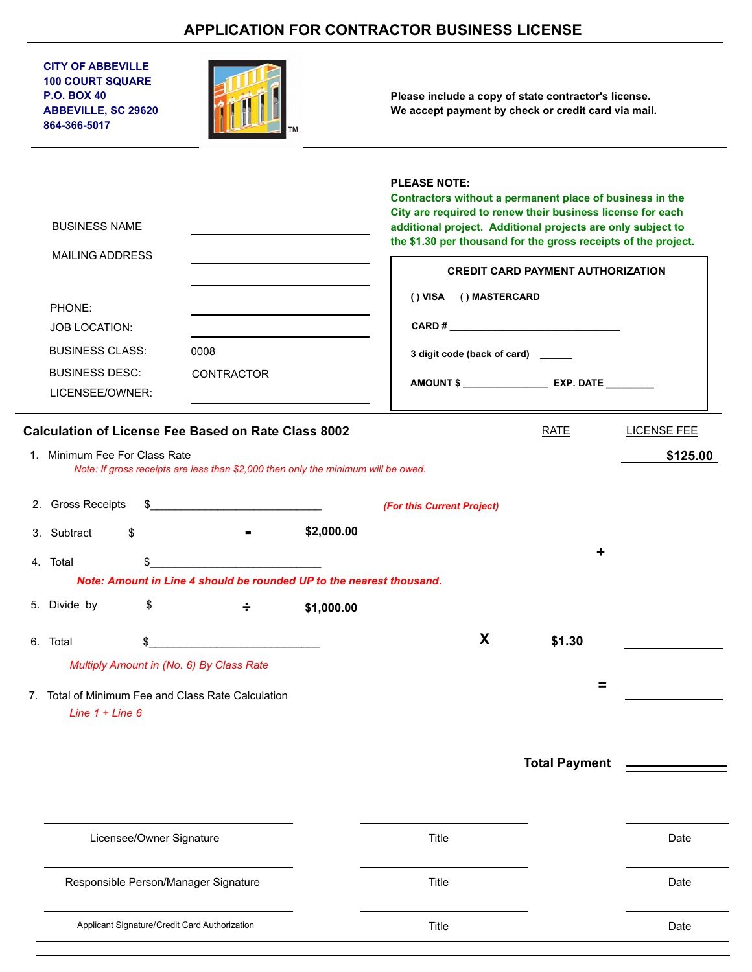## **APPLICATION FOR CONTRACTOR BUSINESS LICENSE**

| <b>CITY OF ABBEVILLE</b><br><b>100 COURT SQUARE</b><br><b>P.O. BOX 40</b><br><b>ABBEVILLE, SC 29620</b><br>864-366-5017               |                          |                                                                                                    |            | Please include a copy of state contractor's license.<br>We accept payment by check or credit card via mail.                                                                                                                                                                                             |                                                                                                                                                                                                                                                                                                                       |                                |
|---------------------------------------------------------------------------------------------------------------------------------------|--------------------------|----------------------------------------------------------------------------------------------------|------------|---------------------------------------------------------------------------------------------------------------------------------------------------------------------------------------------------------------------------------------------------------------------------------------------------------|-----------------------------------------------------------------------------------------------------------------------------------------------------------------------------------------------------------------------------------------------------------------------------------------------------------------------|--------------------------------|
| <b>BUSINESS NAME</b><br><b>MAILING ADDRESS</b><br>PHONE:                                                                              |                          |                                                                                                    |            | <b>PLEASE NOTE:</b><br>Contractors without a permanent place of business in the<br>City are required to renew their business license for each<br>additional project. Additional projects are only subject to<br>the \$1.30 per thousand for the gross receipts of the project.<br>() VISA () MASTERCARD | <b>CREDIT CARD PAYMENT AUTHORIZATION</b>                                                                                                                                                                                                                                                                              |                                |
| <b>JOB LOCATION:</b>                                                                                                                  |                          |                                                                                                    |            |                                                                                                                                                                                                                                                                                                         | CARD # $\frac{1}{2}$ $\frac{1}{2}$ $\frac{1}{2}$ $\frac{1}{2}$ $\frac{1}{2}$ $\frac{1}{2}$ $\frac{1}{2}$ $\frac{1}{2}$ $\frac{1}{2}$ $\frac{1}{2}$ $\frac{1}{2}$ $\frac{1}{2}$ $\frac{1}{2}$ $\frac{1}{2}$ $\frac{1}{2}$ $\frac{1}{2}$ $\frac{1}{2}$ $\frac{1}{2}$ $\frac{1}{2}$ $\frac{1}{2}$ $\frac{1}{2}$ $\frac{$ |                                |
| <b>BUSINESS CLASS:</b>                                                                                                                |                          | 0008                                                                                               |            | 3 digit code (back of card) _____                                                                                                                                                                                                                                                                       |                                                                                                                                                                                                                                                                                                                       |                                |
| <b>BUSINESS DESC:</b>                                                                                                                 |                          | <b>CONTRACTOR</b>                                                                                  |            | AMOUNT \$ ______________________ EXP. DATE __________                                                                                                                                                                                                                                                   |                                                                                                                                                                                                                                                                                                                       |                                |
| LICENSEE/OWNER:                                                                                                                       |                          |                                                                                                    |            |                                                                                                                                                                                                                                                                                                         |                                                                                                                                                                                                                                                                                                                       |                                |
| <b>Calculation of License Fee Based on Rate Class 8002</b><br>1. Minimum Fee For Class Rate<br>2. Gross Receipts<br>3. Subtract<br>\$ |                          | Note: If gross receipts are less than \$2,000 then only the minimum will be owed.<br>$\frac{1}{2}$ | \$2,000.00 | (For this Current Project)                                                                                                                                                                                                                                                                              | <b>RATE</b>                                                                                                                                                                                                                                                                                                           | <b>LICENSE FEE</b><br>\$125.00 |
| 4. Total                                                                                                                              | \$                       |                                                                                                    |            |                                                                                                                                                                                                                                                                                                         |                                                                                                                                                                                                                                                                                                                       |                                |
|                                                                                                                                       |                          | Note: Amount in Line 4 should be rounded UP to the nearest thousand.                               |            |                                                                                                                                                                                                                                                                                                         |                                                                                                                                                                                                                                                                                                                       |                                |
| 5. Divide by                                                                                                                          | S.                       | 100mm - 이 <del>기술</del> - 이 기술                                                                     | \$1,000.00 |                                                                                                                                                                                                                                                                                                         |                                                                                                                                                                                                                                                                                                                       |                                |
| 6. Total                                                                                                                              | S                        |                                                                                                    |            | X                                                                                                                                                                                                                                                                                                       | \$1.30                                                                                                                                                                                                                                                                                                                |                                |
| Multiply Amount in (No. 6) By Class Rate                                                                                              |                          |                                                                                                    |            |                                                                                                                                                                                                                                                                                                         |                                                                                                                                                                                                                                                                                                                       |                                |
| 7. Total of Minimum Fee and Class Rate Calculation<br>Line $1 +$ Line 6                                                               |                          |                                                                                                    |            |                                                                                                                                                                                                                                                                                                         | Ξ                                                                                                                                                                                                                                                                                                                     |                                |
|                                                                                                                                       |                          |                                                                                                    |            |                                                                                                                                                                                                                                                                                                         | <b>Total Payment</b>                                                                                                                                                                                                                                                                                                  |                                |
|                                                                                                                                       |                          |                                                                                                    |            |                                                                                                                                                                                                                                                                                                         |                                                                                                                                                                                                                                                                                                                       |                                |
|                                                                                                                                       | Licensee/Owner Signature |                                                                                                    |            | Title                                                                                                                                                                                                                                                                                                   |                                                                                                                                                                                                                                                                                                                       | Date                           |
|                                                                                                                                       |                          |                                                                                                    |            |                                                                                                                                                                                                                                                                                                         |                                                                                                                                                                                                                                                                                                                       |                                |
| Responsible Person/Manager Signature                                                                                                  |                          |                                                                                                    |            | Title                                                                                                                                                                                                                                                                                                   |                                                                                                                                                                                                                                                                                                                       | Date                           |

| Applicant Signature/Credit Card Authorization | l itle | Date |
|-----------------------------------------------|--------|------|